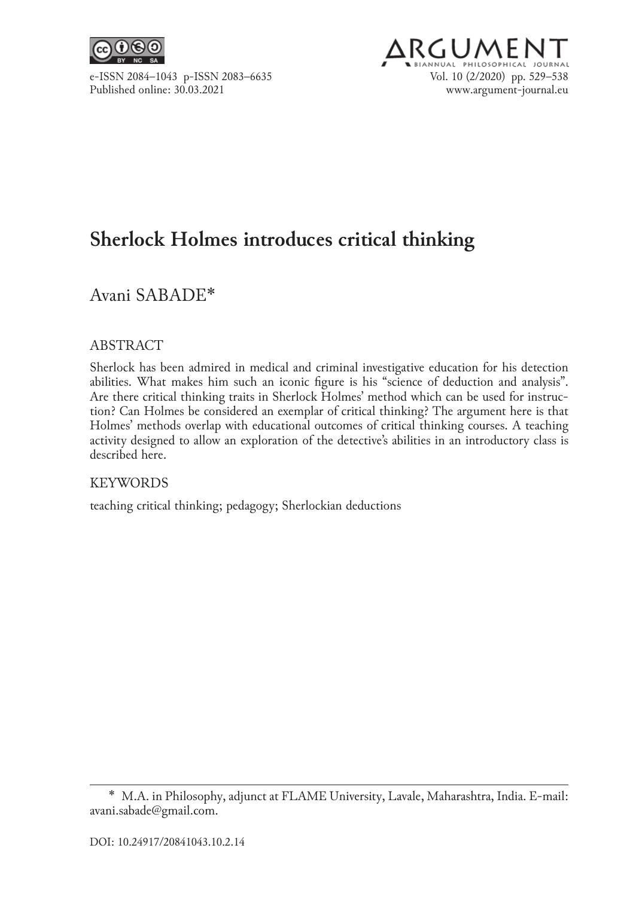

# ARGUMEI e-ISSN 2084–1043 p-ISSN 2083–6635 Vol. 10 (2/2020) pp. 529–538<br>Published online: 30.03.2021 www.argument-iournal.eu www.argument-journal.eu

# **Sherlock Holmes introduces critical thinking**

## Avani SABADE\*

#### ABSTRACT

Sherlock has been admired in medical and criminal investigative education for his detection abilities. What makes him such an iconic figure is his "science of deduction and analysis". Are there critical thinking traits in Sherlock Holmes' method which can be used for instruction? Can Holmes be considered an exemplar of critical thinking? The argument here is that Holmes' methods overlap with educational outcomes of critical thinking courses. A teaching activity designed to allow an exploration of the detective's abilities in an introductory class is described here.

#### KEYWORDS

teaching critical thinking; pedagogy; Sherlockian deductions

<sup>\*</sup>  M.A. in Philosophy, adjunct at FLAME University, Lavale, Maharashtra, India. E‑mail: avani.sabade@gmail.com.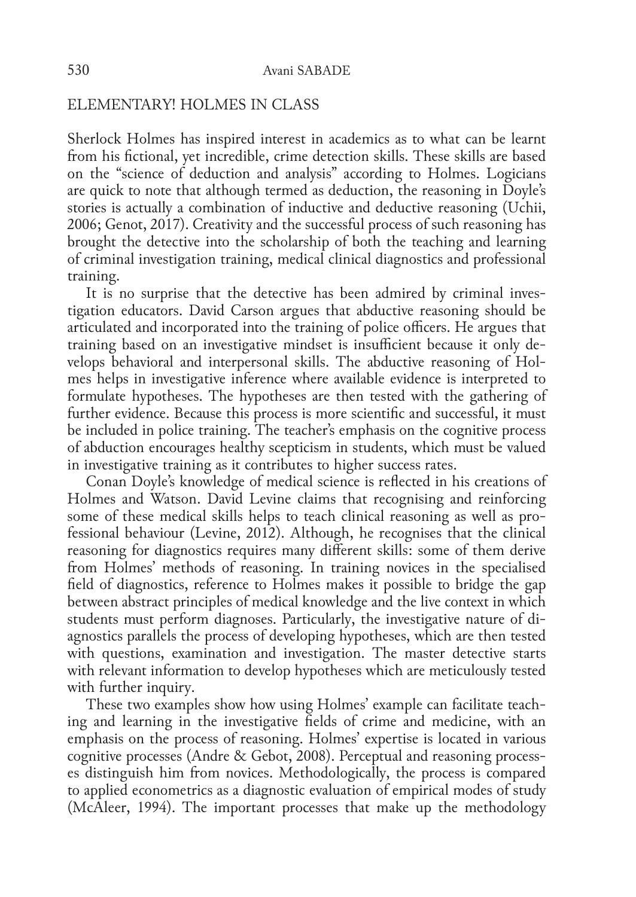#### ELEMENTARY! HOLMES IN CLASS

Sherlock Holmes has inspired interest in academics as to what can be learnt from his fictional, yet incredible, crime detection skills. These skills are based on the "science of deduction and analysis" according to Holmes. Logicians are quick to note that although termed as deduction, the reasoning in Doyle's stories is actually a combination of inductive and deductive reasoning (Uchii, 2006; Genot, 2017). Creativity and the successful process of such reasoning has brought the detective into the scholarship of both the teaching and learning of criminal investigation training, medical clinical diagnostics and professional training.

It is no surprise that the detective has been admired by criminal investigation educators. David Carson argues that abductive reasoning should be articulated and incorporated into the training of police officers. He argues that training based on an investigative mindset is insufficient because it only de‑ velops behavioral and interpersonal skills. The abductive reasoning of Holmes helps in investigative inference where available evidence is interpreted to formulate hypotheses. The hypotheses are then tested with the gathering of further evidence. Because this process is more scientific and successful, it must be included in police training. The teacher's emphasis on the cognitive process of abduction encourages healthy scepticism in students, which must be valued in investigative training as it contributes to higher success rates.

Conan Doyle's knowledge of medical science is reflected in his creations of Holmes and Watson. David Levine claims that recognising and reinforcing some of these medical skills helps to teach clinical reasoning as well as professional behaviour (Levine, 2012). Although, he recognises that the clinical reasoning for diagnostics requires many different skills: some of them derive from Holmes' methods of reasoning. In training novices in the specialised field of diagnostics, reference to Holmes makes it possible to bridge the gap between abstract principles of medical knowledge and the live context in which students must perform diagnoses. Particularly, the investigative nature of diagnostics parallels the process of developing hypotheses, which are then tested with questions, examination and investigation. The master detective starts with relevant information to develop hypotheses which are meticulously tested with further inquiry.

These two examples show how using Holmes' example can facilitate teaching and learning in the investigative fields of crime and medicine, with an emphasis on the process of reasoning. Holmes' expertise is located in various cognitive processes (Andre & Gebot, 2008). Perceptual and reasoning process‑ es distinguish him from novices. Methodologically, the process is compared to applied econometrics as a diagnostic evaluation of empirical modes of study (McAleer, 1994). The important processes that make up the methodology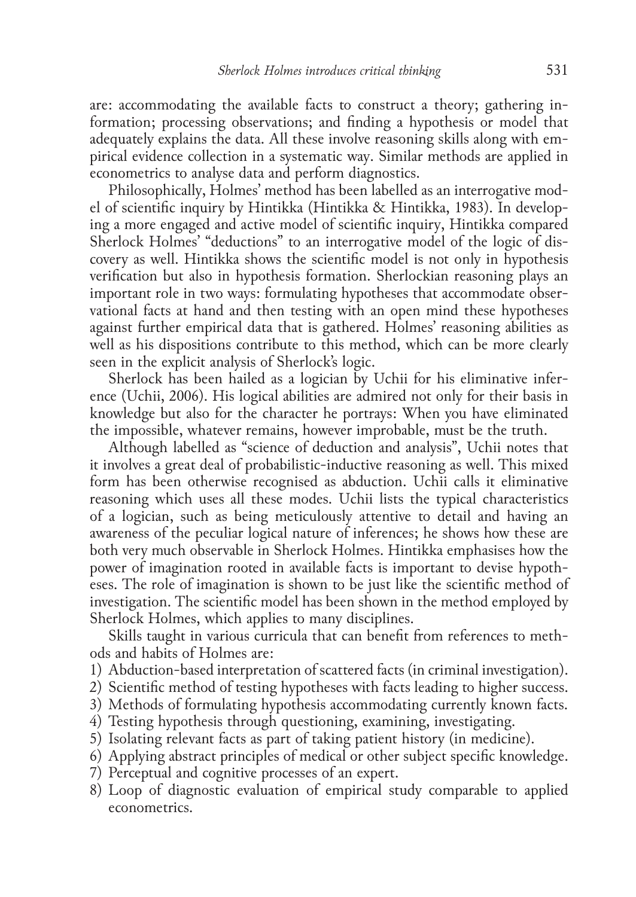are: accommodating the available facts to construct a theory; gathering in– formation; processing observations; and finding a hypothesis or model that adequately explains the data. All these involve reasoning skills along with empirical evidence collection in a systematic way. Similar methods are applied in econometrics to analyse data and perform diagnostics.

Philosophically, Holmes' method has been labelled as an interrogative model of scientific inquiry by Hintikka (Hintikka & Hintikka, 1983). In develop‑ ing a more engaged and active model of scientific inquiry, Hintikka compared Sherlock Holmes' "deductions" to an interrogative model of the logic of dis‑ covery as well. Hintikka shows the scientific model is not only in hypothesis verification but also in hypothesis formation. Sherlockian reasoning plays an important role in two ways: formulating hypotheses that accommodate observational facts at hand and then testing with an open mind these hypotheses against further empirical data that is gathered. Holmes' reasoning abilities as well as his dispositions contribute to this method, which can be more clearly seen in the explicit analysis of Sherlock's logic.

Sherlock has been hailed as a logician by Uchii for his eliminative inference (Uchii, 2006). His logical abilities are admired not only for their basis in knowledge but also for the character he portrays: When you have eliminated the impossible, whatever remains, however improbable, must be the truth.

Although labelled as "science of deduction and analysis", Uchii notes that it involves a great deal of probabilistic‑inductive reasoning as well. This mixed form has been otherwise recognised as abduction. Uchii calls it eliminative reasoning which uses all these modes. Uchii lists the typical characteristics of a logician, such as being meticulously attentive to detail and having an awareness of the peculiar logical nature of inferences; he shows how these are both very much observable in Sherlock Holmes. Hintikka emphasises how the power of imagination rooted in available facts is important to devise hypoth– eses. The role of imagination is shown to be just like the scientific method of investigation. The scientific model has been shown in the method employed by Sherlock Holmes, which applies to many disciplines.

Skills taught in various curricula that can benefit from references to meth– ods and habits of Holmes are:

- 1) Abduction-based interpretation of scattered facts (in criminal investigation).
- 2) Scientific method of testing hypotheses with facts leading to higher success.
- 3) Methods of formulating hypothesis accommodating currently known facts.
- 4) Testing hypothesis through questioning, examining, investigating.
- 5) Isolating relevant facts as part of taking patient history (in medicine).
- 6) Applying abstract principles of medical or other subject specific knowledge.
- 7) Perceptual and cognitive processes of an expert.
- 8) Loop of diagnostic evaluation of empirical study comparable to applied econometrics.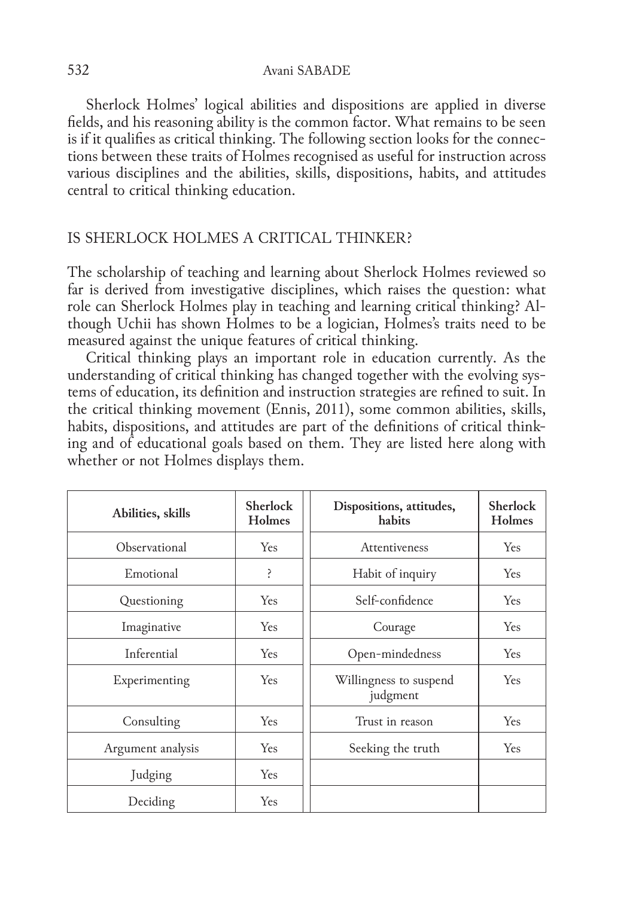532 Avani SABADE

Sherlock Holmes' logical abilities and dispositions are applied in diverse fields, and his reasoning ability is the common factor. What remains to be seen is if it qualifies as critical thinking. The following section looks for the connections between these traits of Holmes recognised as useful for instruction across various disciplines and the abilities, skills, dispositions, habits, and attitudes central to critical thinking education.

## IS SHERLOCK HOLMES A CRITICAL THINKER?

The scholarship of teaching and learning about Sherlock Holmes reviewed so far is derived from investigative disciplines, which raises the question: what role can Sherlock Holmes play in teaching and learning critical thinking? Al– though Uchii has shown Holmes to be a logician, Holmes's traits need to be measured against the unique features of critical thinking.

Critical thinking plays an important role in education currently. As the understanding of critical thinking has changed together with the evolving systems of education, its definition and instruction strategies are refined to suit. In the critical thinking movement (Ennis, 2011), some common abilities, skills, habits, dispositions, and attitudes are part of the definitions of critical think– ing and of educational goals based on them. They are listed here along with whether or not Holmes displays them.

| Abilities, skills | <b>Sherlock</b><br><b>Holmes</b> | Dispositions, attitudes,<br>habits | <b>Sherlock</b><br>Holmes |
|-------------------|----------------------------------|------------------------------------|---------------------------|
| Observational     | <b>Yes</b>                       | Attentiveness                      | <b>Yes</b>                |
| Emotional         | Ś.                               | Habit of inquiry                   | <b>Yes</b>                |
| Questioning       | <b>Yes</b>                       | Self-confidence                    | <b>Yes</b>                |
| Imaginative       | <b>Yes</b>                       | Courage                            | <b>Yes</b>                |
| Inferential       | <b>Yes</b>                       | Open-mindedness                    | <b>Yes</b>                |
| Experimenting     | Yes                              | Willingness to suspend<br>judgment | <b>Yes</b>                |
| Consulting        | <b>Yes</b>                       | Trust in reason                    | <b>Yes</b>                |
| Argument analysis | <b>Yes</b>                       | Seeking the truth                  | <b>Yes</b>                |
| Judging           | <b>Yes</b>                       |                                    |                           |
| Deciding          | <b>Yes</b>                       |                                    |                           |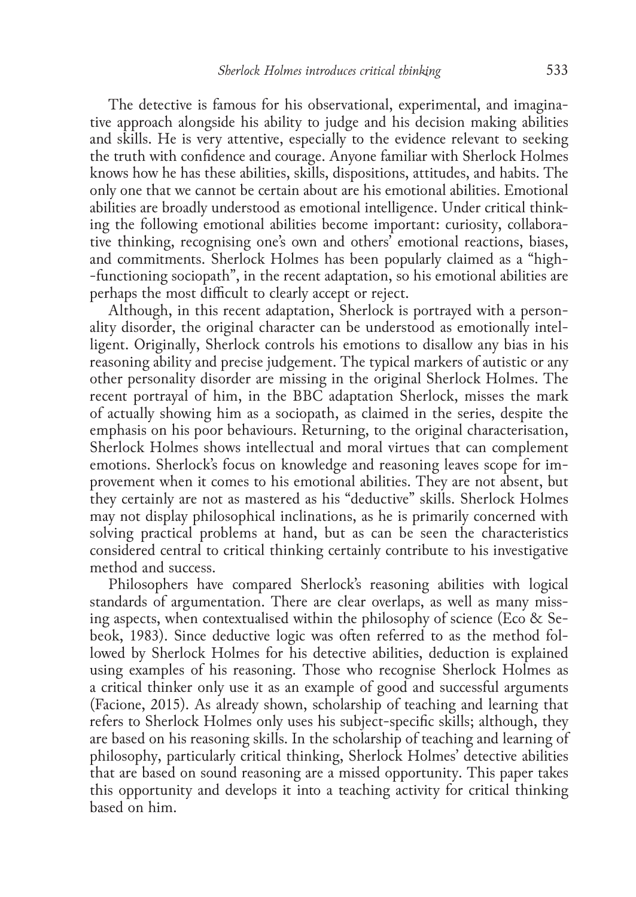The detective is famous for his observational, experimental, and imaginative approach alongside his ability to judge and his decision making abilities and skills. He is very attentive, especially to the evidence relevant to seeking the truth with confidence and courage. Anyone familiar with Sherlock Holmes knows how he has these abilities, skills, dispositions, attitudes, and habits. The only one that we cannot be certain about are his emotional abilities. Emotional abilities are broadly understood as emotional intelligence. Under critical think‑ ing the following emotional abilities become important: curiosity, collabora– tive thinking, recognising one's own and others' emotional reactions, biases, and commitments. Sherlock Holmes has been popularly claimed as a "high-‑functioning sociopath", in the recent adaptation, so his emotional abilities are perhaps the most difficult to clearly accept or reject.

Although, in this recent adaptation, Sherlock is portrayed with a personality disorder, the original character can be understood as emotionally intel‑ ligent. Originally, Sherlock controls his emotions to disallow any bias in his reasoning ability and precise judgement. The typical markers of autistic or any other personality disorder are missing in the original Sherlock Holmes. The recent portrayal of him, in the BBC adaptation Sherlock, misses the mark of actually showing him as a sociopath, as claimed in the series, despite the emphasis on his poor behaviours. Returning, to the original characterisation, Sherlock Holmes shows intellectual and moral virtues that can complement emotions. Sherlock's focus on knowledge and reasoning leaves scope for improvement when it comes to his emotional abilities. They are not absent, but they certainly are not as mastered as his "deductive" skills. Sherlock Holmes may not display philosophical inclinations, as he is primarily concerned with solving practical problems at hand, but as can be seen the characteristics considered central to critical thinking certainly contribute to his investigative method and success.

Philosophers have compared Sherlock's reasoning abilities with logical standards of argumentation. There are clear overlaps, as well as many missing aspects, when contextualised within the philosophy of science (Eco & Sebeok, 1983). Since deductive logic was often referred to as the method followed by Sherlock Holmes for his detective abilities, deduction is explained using examples of his reasoning. Those who recognise Sherlock Holmes as a critical thinker only use it as an example of good and successful arguments (Facione, 2015). As already shown, scholarship of teaching and learning that refers to Sherlock Holmes only uses his subject-specific skills; although, they are based on his reasoning skills. In the scholarship of teaching and learning of philosophy, particularly critical thinking, Sherlock Holmes' detective abilities that are based on sound reasoning are a missed opportunity. This paper takes this opportunity and develops it into a teaching activity for critical thinking based on him.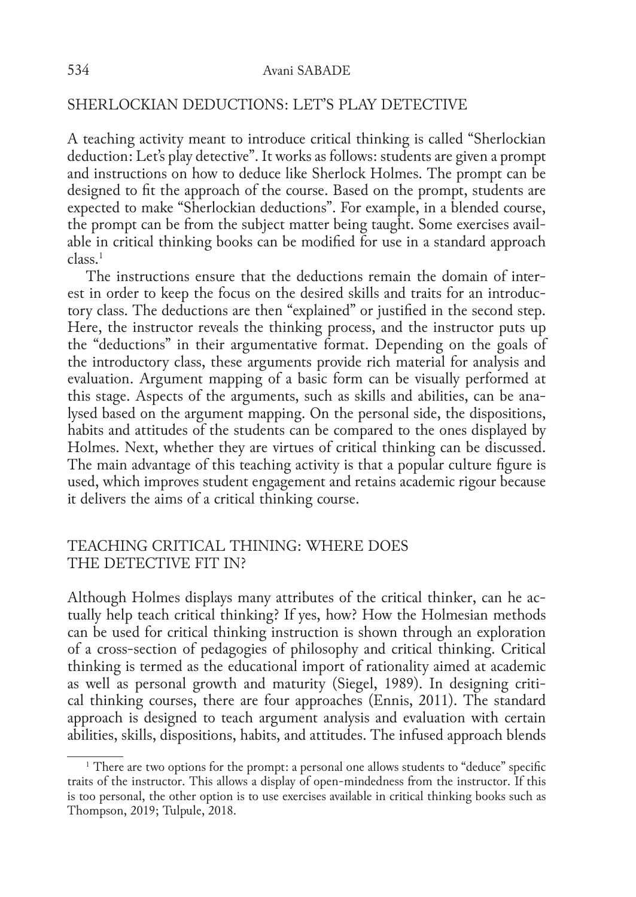### SHERLOCKIAN DEDUCTIONS: LET'S PLAY DETECTIVE

A teaching activity meant to introduce critical thinking is called "Sherlockian deduction: Let's play detective". It works as follows: students are given a prompt and instructions on how to deduce like Sherlock Holmes. The prompt can be designed to fit the approach of the course. Based on the prompt, students are expected to make "Sherlockian deductions". For example, in a blended course, the prompt can be from the subject matter being taught. Some exercises available in critical thinking books can be modified for use in a standard approach  $class<sup>1</sup>$ 

The instructions ensure that the deductions remain the domain of interest in order to keep the focus on the desired skills and traits for an introductory class. The deductions are then "explained" or justified in the second step. Here, the instructor reveals the thinking process, and the instructor puts up the "deductions" in their argumentative format. Depending on the goals of the introductory class, these arguments provide rich material for analysis and evaluation. Argument mapping of a basic form can be visually performed at this stage. Aspects of the arguments, such as skills and abilities, can be ana‑ lysed based on the argument mapping. On the personal side, the dispositions, habits and attitudes of the students can be compared to the ones displayed by Holmes. Next, whether they are virtues of critical thinking can be discussed. The main advantage of this teaching activity is that a popular culture figure is used, which improves student engagement and retains academic rigour because it delivers the aims of a critical thinking course.

#### TEACHING CRITICAL THINING: WHERE DOES THE DETECTIVE FIT IN?

Although Holmes displays many attributes of the critical thinker, can he actually help teach critical thinking? If yes, how? How the Holmesian methods can be used for critical thinking instruction is shown through an exploration of a cross‑section of pedagogies of philosophy and critical thinking. Critical thinking is termed as the educational import of rationality aimed at academic as well as personal growth and maturity (Siegel, 1989). In designing critical thinking courses, there are four approaches (Ennis, 2011). The standard approach is designed to teach argument analysis and evaluation with certain abilities, skills, dispositions, habits, and attitudes. The infused approach blends

<sup>&</sup>lt;sup>1</sup> There are two options for the prompt: a personal one allows students to "deduce" specific traits of the instructor. This allows a display of open-mindedness from the instructor. If this is too personal, the other option is to use exercises available in critical thinking books such as Thompson, 2019; Tulpule, 2018.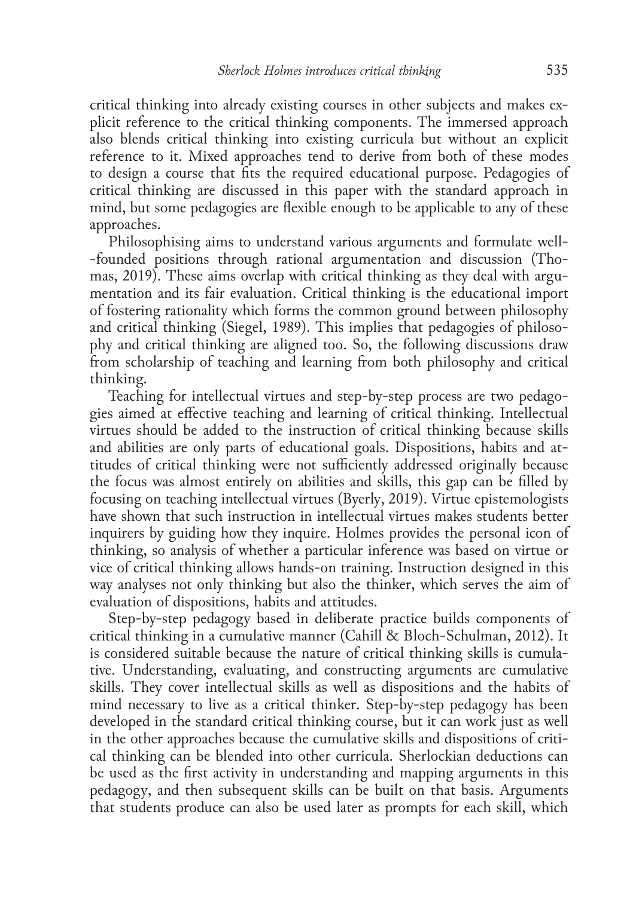critical thinking into already existing courses in other subjects and makes explicit reference to the critical thinking components. The immersed approach also blends critical thinking into existing curricula but without an explicit reference to it. Mixed approaches tend to derive from both of these modes to design a course that fits the required educational purpose. Pedagogies of critical thinking are discussed in this paper with the standard approach in mind, but some pedagogies are flexible enough to be applicable to any of these approaches.

Philosophising aims to understand various arguments and formulate well-‑founded positions through rational argumentation and discussion (Thomas, 2019). These aims overlap with critical thinking as they deal with argumentation and its fair evaluation. Critical thinking is the educational import of fostering rationality which forms the common ground between philosophy and critical thinking (Siegel, 1989). This implies that pedagogies of philosophy and critical thinking are aligned too. So, the following discussions draw from scholarship of teaching and learning from both philosophy and critical thinking.

Teaching for intellectual virtues and step-by-step process are two pedagogies aimed at effective teaching and learning of critical thinking. Intellectual virtues should be added to the instruction of critical thinking because skills and abilities are only parts of educational goals. Dispositions, habits and attitudes of critical thinking were not sufficiently addressed originally because the focus was almost entirely on abilities and skills, this gap can be filled by focusing on teaching intellectual virtues (Byerly, 2019). Virtue epistemologists have shown that such instruction in intellectual virtues makes students better inquirers by guiding how they inquire. Holmes provides the personal icon of thinking, so analysis of whether a particular inference was based on virtue or vice of critical thinking allows hands‑on training. Instruction designed in this way analyses not only thinking but also the thinker, which serves the aim of evaluation of dispositions, habits and attitudes.

Step–by–step pedagogy based in deliberate practice builds components of critical thinking in a cumulative manner (Cahill & Bloch‑Schulman, 2012). It is considered suitable because the nature of critical thinking skills is cumula– tive. Understanding, evaluating, and constructing arguments are cumulative skills. They cover intellectual skills as well as dispositions and the habits of mind necessary to live as a critical thinker. Step-by-step pedagogy has been developed in the standard critical thinking course, but it can work just as well in the other approaches because the cumulative skills and dispositions of critical thinking can be blended into other curricula. Sherlockian deductions can be used as the first activity in understanding and mapping arguments in this pedagogy, and then subsequent skills can be built on that basis. Arguments that students produce can also be used later as prompts for each skill, which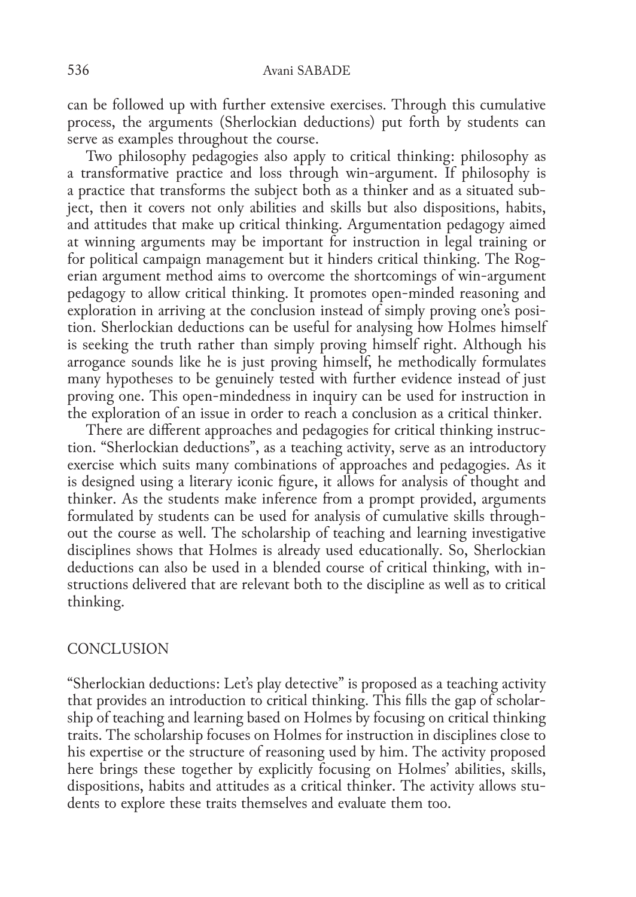can be followed up with further extensive exercises. Through this cumulative process, the arguments (Sherlockian deductions) put forth by students can serve as examples throughout the course.

Two philosophy pedagogies also apply to critical thinking: philosophy as a transformative practice and loss through win‑argument. If philosophy is a practice that transforms the subject both as a thinker and as a situated subject, then it covers not only abilities and skills but also dispositions, habits, and attitudes that make up critical thinking. Argumentation pedagogy aimed at winning arguments may be important for instruction in legal training or for political campaign management but it hinders critical thinking. The Rogerian argument method aims to overcome the shortcomings of win‑argument pedagogy to allow critical thinking. It promotes open‑minded reasoning and exploration in arriving at the conclusion instead of simply proving one's position. Sherlockian deductions can be useful for analysing how Holmes himself is seeking the truth rather than simply proving himself right. Although his arrogance sounds like he is just proving himself, he methodically formulates many hypotheses to be genuinely tested with further evidence instead of just proving one. This open‑mindedness in inquiry can be used for instruction in the exploration of an issue in order to reach a conclusion as a critical thinker.

There are different approaches and pedagogies for critical thinking instruction. "Sherlockian deductions", as a teaching activity, serve as an introductory exercise which suits many combinations of approaches and pedagogies. As it is designed using a literary iconic figure, it allows for analysis of thought and thinker. As the students make inference from a prompt provided, arguments formulated by students can be used for analysis of cumulative skills throughout the course as well. The scholarship of teaching and learning investigative disciplines shows that Holmes is already used educationally. So, Sherlockian deductions can also be used in a blended course of critical thinking, with in‑ structions delivered that are relevant both to the discipline as well as to critical thinking.

#### **CONCLUSION**

"Sherlockian deductions: Let's play detective" is proposed as a teaching activity that provides an introduction to critical thinking. This fills the gap of scholar– ship of teaching and learning based on Holmes by focusing on critical thinking traits. The scholarship focuses on Holmes for instruction in disciplines close to his expertise or the structure of reasoning used by him. The activity proposed here brings these together by explicitly focusing on Holmes' abilities, skills, dispositions, habits and attitudes as a critical thinker. The activity allows students to explore these traits themselves and evaluate them too.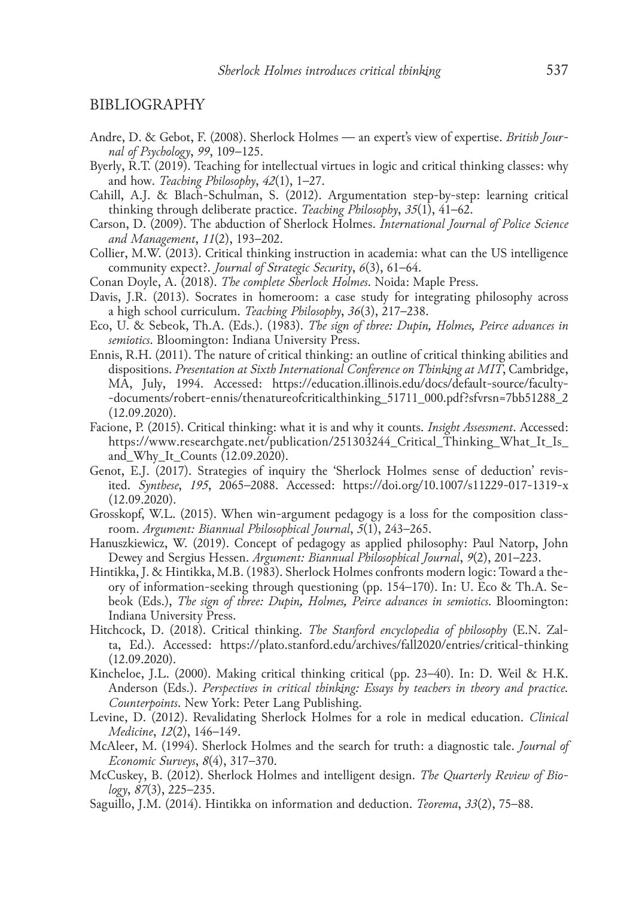#### BIBLIOGRAPHY

- Andre, D. & Gebot, F. (2008). Sherlock Holmes an expert's view of expertise. *British Journal of Psychology*, *99*, 109–125.
- Byerly, R.T. (2019). Teaching for intellectual virtues in logic and critical thinking classes: why and how. *Teaching Philosophy*, *42*(1), 1–27.
- Cahill, A.J. & Blach-Schulman, S. (2012). Argumentation step-by-step: learning critical thinking through deliberate practice. *Teaching Philosophy*, *35*(1), 41–62.
- Carson, D. (2009). The abduction of Sherlock Holmes. *International Journal of Police Science and Management*, *11*(2), 193–202.
- Collier, M.W. (2013). Critical thinking instruction in academia: what can the US intelligence community expect?. *Journal of Strategic Security*, *6*(3), 61–64.
- Conan Doyle, A. (2018). *The complete Sherlock Holmes*. Noida: Maple Press.
- Davis, J.R. (2013). Socrates in homeroom: a case study for integrating philosophy across a high school curriculum. *Teaching Philosophy*, *36*(3), 217–238.
- Eco, U. & Sebeok, Th.A. (Eds.). (1983). *The sign of three: Dupin, Holmes, Peirce advances in semiotics*. Bloomington: Indiana University Press.
- Ennis, R.H. (2011). The nature of critical thinking: an outline of critical thinking abilities and dispositions. *Presentation at Sixth International Conference on Thinking at MIT*, Cambridge, MA, July, 1994. Accessed: https://education.illinois.edu/docs/default-source/faculty-‑documents/robert‑ennis/thenatureofcriticalthinking\_51711\_000.pdf?sfvrsn=7bb51288\_2 (12.09.2020).
- Facione, P. (2015). Critical thinking: what it is and why it counts. *Insight Assessment*. Accessed: https://www.researchgate.net/publication/251303244\_Critical\_Thinking\_What\_It\_Is\_ and\_Why\_It\_Counts (12.09.2020).
- Genot, E.J. (2017). Strategies of inquiry the 'Sherlock Holmes sense of deduction' revisited. *Synthese*, *195*, 2065–2088. Accessed: https://doi.org/10.1007/s11229‑017‑1319‑x (12.09.2020).
- Grosskopf, W.L. (2015). When win-argument pedagogy is a loss for the composition classroom. *Argument: Biannual Philosophical Journal*, *5*(1), 243–265.
- Hanuszkiewicz, W. (2019). Concept of pedagogy as applied philosophy: Paul Natorp, John Dewey and Sergius Hessen. *Argument: Biannual Philosophical Journal*, *9*(2), 201–223.
- Hintikka, J. & Hintikka, M.B. (1983). Sherlock Holmes confronts modern logic: Toward a the‑ ory of information–seeking through questioning (pp. 154–170). In: U. Eco & Th.A. Sebeok (Eds.), *The sign of three: Dupin, Holmes, Peirce advances in semiotics*. Bloomington: Indiana University Press.
- Hitchcock, D. (2018). Critical thinking. *The Stanford encyclopedia of philosophy* (E.N. Zal‑ ta, Ed.). Accessed: https://plato.stanford.edu/archives/fall2020/entries/critical-thinking (12.09.2020).
- Kincheloe, J.L. (2000). Making critical thinking critical (pp. 23–40). In: D. Weil & H.K. Anderson (Eds.). *Perspectives in critical thinking: Essays by teachers in theory and practice. Counterpoints*. New York: Peter Lang Publishing.
- Levine, D. (2012). Revalidating Sherlock Holmes for a role in medical education. *Clinical Medicine*, *12*(2), 146–149.
- McAleer, M. (1994). Sherlock Holmes and the search for truth: a diagnostic tale. *Journal of Economic Surveys*, *8*(4), 317–370.
- McCuskey, B. (2012). Sherlock Holmes and intelligent design. *The Quarterly Review of Biology*, *87*(3), 225–235.
- Saguillo, J.M. (2014). Hintikka on information and deduction. *Teorema*, *33*(2), 75–88.